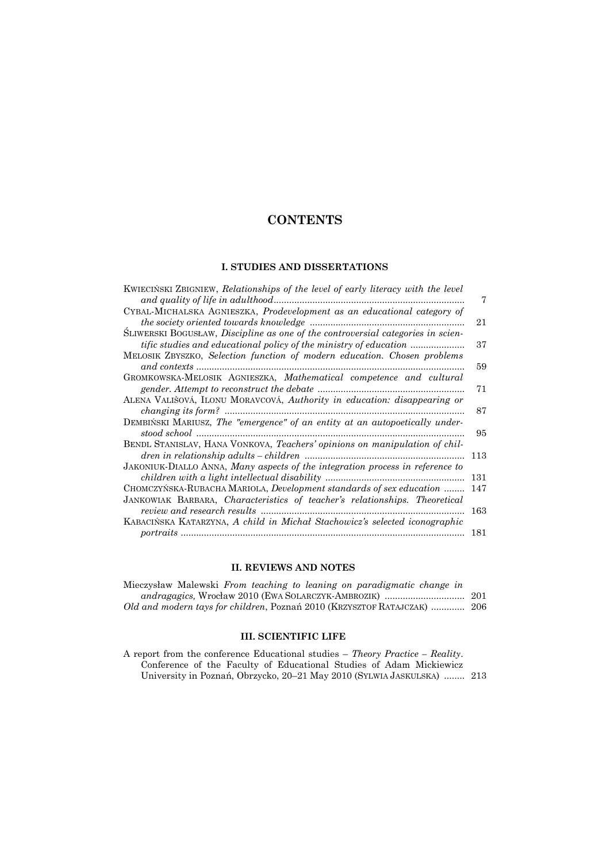## **CONTENTS**

## **I. STUDIES AND DISSERTATIONS**

| KWIECIŃSKI ZBIGNIEW, Relationships of the level of early literacy with the level |     |
|----------------------------------------------------------------------------------|-----|
| and quality of life in adulthood.                                                | 7   |
| CYBAL-MICHALSKA AGNIESZKA, <i>Prodevelopment</i> as an educational category of   |     |
| the society oriented towards knowledge                                           | 21  |
| SLIWERSKI BOGUSŁAW, Discipline as one of the controversial categories in scien-  |     |
| <i>tific studies and educational policy of the ministry of education </i>        | 37  |
| MELOSIK ZBYSZKO, Selection function of modern education. Chosen problems         |     |
| and contexts                                                                     | 59  |
| GROMKOWSKA-MELOSIK AGNIESZKA, Mathematical competence and cultural               |     |
| gender. Attempt to reconstruct the debate                                        | 71  |
| ALENA VALIŠOVÁ, ILONU MORAVCOVÁ, Authority in education: disappearing or         |     |
| <i>changing its form?</i>                                                        | 87  |
| DEMBINSKI MARIUSZ, The "emergence" of an entity at an autopoetically under-      |     |
| stood school                                                                     | 95  |
| BENDL STANISLAV, HANA VONKOVA, Teachers' opinions on manipulation of chil-       |     |
| dren in relationship adults – children                                           | 113 |
| JAKONIUK-DIALLO ANNA, Many aspects of the integration process in reference to    |     |
| children with a light intellectual disability                                    | 131 |
| CHOMCZYŃSKA-RUBACHA MARIOLA, Development standards of sex education              | 147 |
| JANKOWIAK BARBARA, Characteristics of teacher's relationships. Theoretical       |     |
| <i>review and research results</i>                                               | 163 |
| KABACIŃSKA KATARZYNA, A child in Michał Stachowicz's selected iconographic       |     |
| portraits                                                                        | 181 |
|                                                                                  |     |

## **II. REVIEWS AND NOTES**

| Mieczysław Malewski <i>From teaching to leaning on paradigmatic change in</i> |  |
|-------------------------------------------------------------------------------|--|
|                                                                               |  |
| Old and modern tays for children, Poznań 2010 (KRZYSZTOF RATAJCZAK)  206      |  |

## **III. SCIENTIFIC LIFE**

| A report from the conference Educational studies – Theory Practice – Reality. |  |
|-------------------------------------------------------------------------------|--|
| Conference of the Faculty of Educational Studies of Adam Mickiewicz           |  |
| University in Poznań, Obrzycko, 20–21 May 2010 (SYLWIA JASKULSKA)  213        |  |